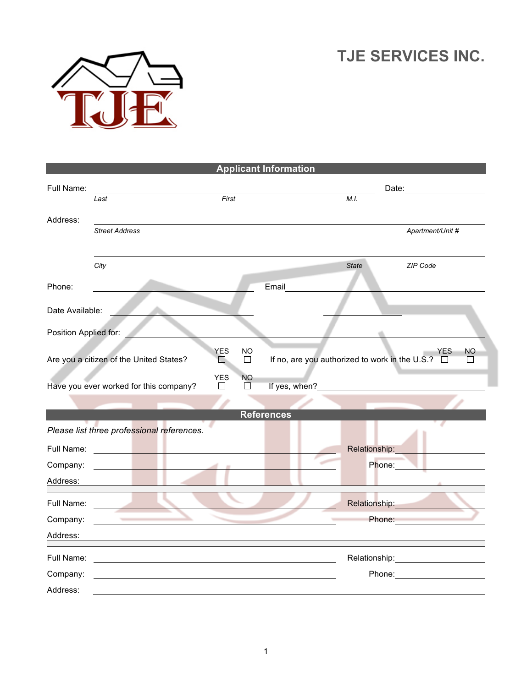## **TJE SERVICES INC.**



| <b>Applicant Information</b> |                                                    |                             |                   |               |              |                                                                           |
|------------------------------|----------------------------------------------------|-----------------------------|-------------------|---------------|--------------|---------------------------------------------------------------------------|
| Full Name:                   | Last                                               | First                       |                   |               | M.L.         | Date: <u>___________________</u>                                          |
| Address:                     |                                                    |                             |                   |               |              |                                                                           |
|                              | <b>Street Address</b>                              |                             |                   |               |              | Apartment/Unit #                                                          |
|                              | City                                               |                             |                   |               | <b>State</b> | ZIP Code                                                                  |
| Phone:                       |                                                    |                             |                   | Email         |              |                                                                           |
| Date Available:              |                                                    |                             |                   |               |              |                                                                           |
| Position Applied for:        |                                                    |                             |                   |               |              |                                                                           |
|                              | Are you a citizen of the United States?            | <b>YES</b><br><b>Talent</b> | NO<br>П           |               |              | <b>YES</b><br>NO<br>If no, are you authorized to work in the U.S.? □<br>П |
|                              | Have you ever worked for this company?             | <b>YES</b><br>П             | <b>NO</b><br>□    | If yes, when? |              |                                                                           |
|                              |                                                    |                             | <b>References</b> |               |              |                                                                           |
|                              | Please list three professional references.         |                             |                   |               |              |                                                                           |
| Full Name:                   | <u> 1989 - Jan James Barnett, fransk kongresu.</u> |                             |                   |               |              | Relationship:                                                             |
| Company:                     |                                                    |                             |                   |               |              | Phone:                                                                    |
| Address:                     |                                                    |                             |                   |               |              |                                                                           |
| Full Name:                   |                                                    |                             |                   |               |              | Relationship: Nellationship:                                              |
| Company:                     | <b>Contract Contract</b>                           |                             |                   |               |              | Phone:                                                                    |
| Address:                     |                                                    |                             |                   |               |              |                                                                           |
| Full Name:                   |                                                    |                             |                   |               |              | Relationship:<br><u>__________________________</u>                        |
| Company:                     |                                                    |                             |                   |               |              | Phone: <u>______________</u>                                              |
| Address:                     |                                                    |                             |                   |               |              |                                                                           |